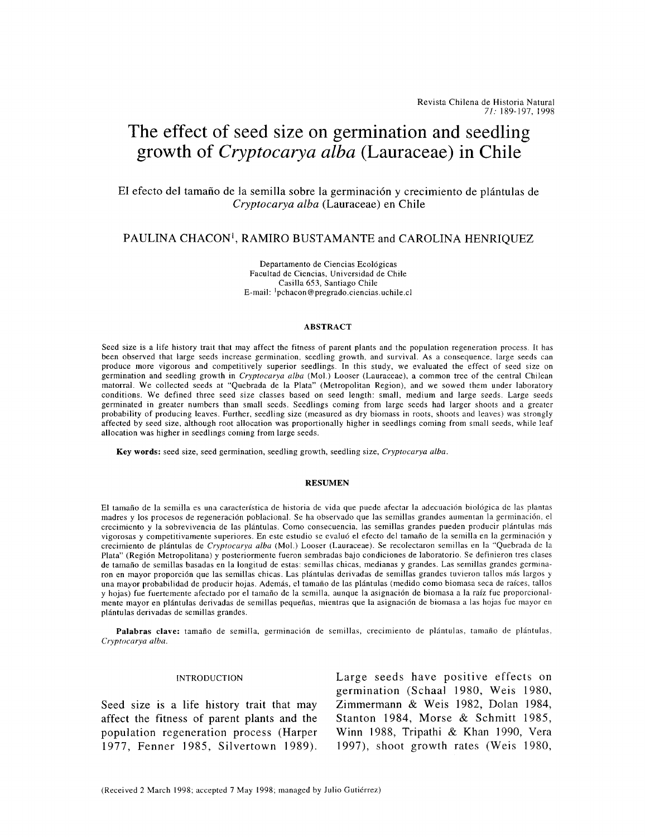# **The effect of seed size on germination and seedling growth of** *Cryptocarya alba* **(Lauraceae) in Chile**

## El efecto del tamafio de Ia semilla sobre la germinaci6n y crecimiento de plántulas de *Cryptocarya alba* (Lauraceae) en Chile

# PAULINA CHACON<sup>1</sup>, RAMIRO BUSTAMANTE and CAROLINA HENRIQUEZ

Departamento de Ciencias Ecol6gicas Facultad de Ciencias, Universidad de Chile Casilla 653, Santiago Chile E-mail: <sup>1</sup> pchacon@pregrado.ciencias.uchile.cl

#### ABSTRACT

Seed size is a life history trait that may affect the fitness of parent plants and the population regeneration process. It has been observed that large seeds increase germination, seedling growth, and survival. As a consequence, large seeds can produce more vigorous and competitively superior seedlings. In this study, we evaluated the effect of seed size on germination and seedling growth in *Cryptocarya alba* (Mol.) Looser (Lauraceae), a common tree of the central Chilean matorral. We collected seeds at "Quebrada de Ia Plata" (Metropolitan Region), and we sowed them under laboratory conditions. We defined three seed size classes based on seed length: small, medium and large seeds. Large seeds germinated in greater numbers than small seeds. Seedlings coming from large seeds had larger shoots and a greater probability of producing leaves. Further, seedling size (measured as dry biomass in roots, shoots and leaves) was strongly affected by seed size, although root allocation was proportionally higher in seedlings coming from small seeds, while leaf allocation was higher in seedlings coming from large seeds.

Key words: seed size, seed germination, seedling growth, seedling size, *Cryptocarya alba.* 

#### RESUMEN

El tamaño de la semilla es una característica de historia de vida que puede afectar la adecuación biológica de las plantas madres y los procesos de regeneraci6n poblacional. Se ha observado que las semillas grandes aumentan Ia germinaci6n, el crecimiento y Ia sobrevivencia de las plántulas. Como consecuencia, las semillas grandes pueden producir plantulas más vigorosas y competitivamente superiores. En este estudio se evaluó el efecto del tamaño de la semilla en la germinación y crecimiento de plantulas de *Cryptocarya alba* (Mol.) Looser (Lauraceae). Se recolectaron semillas en Ia "Quebrada de Ia Plata" (Region Metropolitana) y posteriormente fueron sembradas bajo condiciones de laboratorio. Se definieron tres clases de tamaño de semillas basadas en la longitud de estas: semillas chicas, medianas y grandes. Las semillas grandes germinaron en mayor proporción que las semillas chicas. Las plántulas derivadas de semillas grandes tuvieron tallos más largos y una mayor probabilidad de producir hojas. Además, el tamaño de las plántulas (medido como biomasa seca de raíces, tallos y hojas) fue fuertemente afectado por el tamaño de la semilla, aunque la asignación de biomasa a la raíz fue proporcionalmente mayor en plántulas derivadas de semillas pequeñas, mientras que la asignación de biomasa a las hojas fue mayor en plántulas derivadas de semillas grandes.

Palabras clave: tamaño de semilla, germinación de semillas, crecimiento de plántulas, tamaño de plántulas, *Cryptocarya alba.* 

#### INTRODUCTION

Seed size is a life history trait that may affect the fitness of parent plants and the population regeneration process (Harper 1977, Fenner 1985, Silvertown 1989). Large seeds have positive effects on germination (Schaal 1980, Weis 1980, Zimmermann & Weis 1982, Dolan 1984, Stanton 1984, Morse & Schmitt 1985, Winn 1988, Tripathi & Khan 1990, Vera 1997), shoot growth rates (Weis 1980,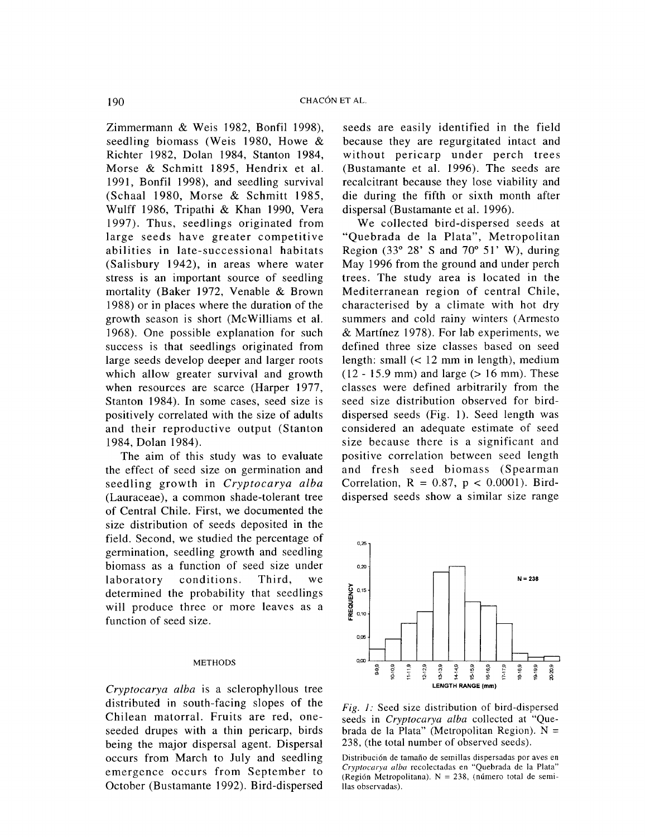Zimmermann & Weis 1982, Bonfil 1998), seedling biomass (Weis 1980, Howe & Richter 1982, Dolan 1984, Stanton 1984, Morse & Schmitt 1895, Hendrix et al. 1991, Bonfil 1998), and seedling survival (Schaal 1980, Morse & Schmitt 1985, Wulff 1986, Tripathi & Khan 1990, Vera 1997). Thus, seedlings originated from large seeds have greater competitive abilities in late-successional habitats (Salisbury 1942), in areas where water stress is an important source of seedling mortality (Baker 1972, Venable & Brown 1988) or in places where the duration of the growth season is short (McWilliams et al. 1968). One possible explanation for such success is that seedlings originated from large seeds develop deeper and larger roots which allow greater survival and growth when resources are scarce (Harper 1977, Stanton 1984). In some cases, seed size is positively correlated with the size of adults and their reproductive output (Stanton 1984, Dolan 1984).

The aim of this study was to evaluate the effect of seed size on germination and seedling growth in *Cryptocarya alba*  (Lauraceae), a common shade-tolerant tree of Central Chile. First, we documented the size distribution of seeds deposited in the field. Second, we studied the percentage of germination, seedling growth and seedling biomass as a function of seed size under laboratory conditions. Third, we determined the probability that seedlings will produce three or more leaves as a function of seed size.

## METHODS

*Cryptocarya alba* is a sclerophyllous tree distributed in south-facing slopes of the Chilean matorral. Fruits are red, oneseeded drupes with a thin pericarp, birds being the major dispersal agent. Dispersal occurs from March to July and seedling emergence occurs from September to October (Bustamante 1992). Bird-dispersed seeds are easily identified in the field because they are regurgitated intact and without pericarp under perch trees (Bustamante et al. 1996). The seeds are recalcitrant because they lose viability and die during the fifth or sixth month after dispersal (Bustamante et al. 1996).

We collected bird-dispersed seeds at "Quebrada de la Plata", Metropolitan Region (33 $\degree$  28' S and 70 $\degree$  51' W), during May 1996 from the ground and under perch trees. The study area is located in the Mediterranean region of central Chile, characterised by a climate with hot dry summers and cold rainy winters (Armesto & Martinez 1978). For lab experiments, we defined three size classes based on seed length: small (< 12 mm in length), medium  $(12 - 15.9$  mm) and large  $(> 16$  mm). These classes were defined arbitrarily from the seed size distribution observed for birddispersed seeds  $(Fig. 1)$ . Seed length was considered an adequate estimate of seed size because there is a significant and positive correlation between seed length and fresh seed biomass (Spearman Correlation,  $R = 0.87$ ,  $p < 0.0001$ ). Birddispersed seeds show a similar size range



*Fig. 1:* Seed size distribution of bird-dispersed seeds in *Cryptocarya alba* collected at "Quebrada de la Plata" (Metropolitan Region).  $N =$ 238, (the total number of observed seeds).

Distribución de tamaño de semillas dispersadas por aves en *Cryptocarya alba* recolectadas en "Quebrada de Ia Plata" (Región Metropolitana). N = 238, (número total de semilias observadas).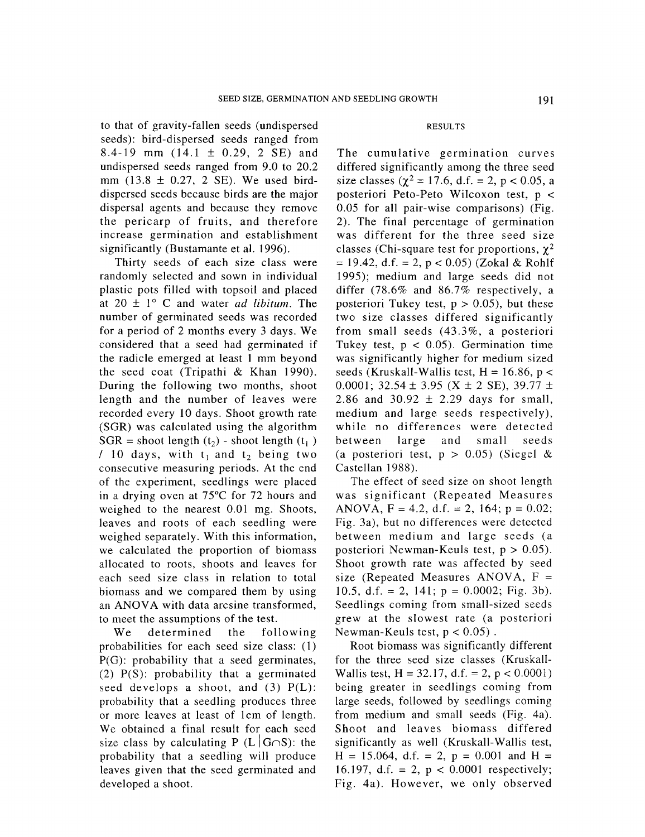to that of gravity-fallen seeds (undispersed seeds): bird-dispersed seeds ranged from 8.4-19 mm  $(14.1 \pm 0.29, 2 \text{ SE})$  and undispersed seeds ranged from 9.0 to 20.2 mm  $(13.8 \pm 0.27, 2 \text{ SE})$ . We used birddispersed seeds because birds are the major dispersal agents and because they remove the pericarp of fruits, and therefore increase germination and establishment significantly (Bustamante et al. 1996).

Thirty seeds of each size class were randomly selected and sown in individual plastic pots filled with topsoil and placed at  $20 \pm 1^{\circ}$  C and water *ad libitum*. The number of germinated seeds was recorded for a period of 2 months every 3 days. We considered that a seed had germinated if the radicle emerged at least 1 mm beyond the seed coat (Tripathi & Khan 1990). During the following two months, shoot length and the number of leaves were recorded every 10 days. Shoot growth rate (SGR) was calculated using the algorithm  $SGR =$  shoot length (t<sub>1</sub>) - shoot length (t<sub>1</sub>)  $/10$  days, with  $t_1$  and  $t_2$  being two consecutive measuring periods. At the end of the experiment, seedlings were placed in a drying oven at 75°C for 72 hours and weighed to the nearest 0.01 mg. Shoots, leaves and roots of each seedling were weighed separately. With this information, we calculated the proportion of biomass allocated to roots, shoots and leaves for each seed size class in relation to total biomass and we compared them by using an ANOVA with data arcsine transformed, to meet the assumptions of the test.

We determined the following probabilities for each seed size class: (1) P(G): probability that a seed germinates, (2) P(S): probability that a germinated seed develops a shoot, and  $(3)$   $P(L)$ : probability that a seedling produces three or more leaves at least of 1cm of length. We obtained a final result for each seed size class by calculating P (L  $|G \cap S|$ : the probability that a seedling will produce leaves given that the seed germinated and developed a shoot.

## RESULTS

The cumulative germination curves differed significantly among the three seed size classes ( $\chi^2$  = 17.6, d.f. = 2, p < 0.05, a posteriori Peto-Peto Wilcoxon test, p < 0.05 for all pair-wise comparisons) (Fig. 2). The final percentage of germination was different for the three seed size classes (Chi-square test for proportions,  $\chi^2$  $= 19.42$ , d.f.  $= 2$ ,  $p < 0.05$ ) (Zokal & Rohlf 1995); medium and large seeds did not differ (78.6% and 86.7% respectively, a posteriori Tukey test,  $p > 0.05$ ), but these two size classes differed significantly from small seeds (43.3%, a posteriori Tukey test,  $p < 0.05$ ). Germination time was significantly higher for medium sized seeds (Kruskall-Wallis test,  $H = 16.86$ ,  $p <$ 0.0001;  $32.54 \pm 3.95$  (X  $\pm$  2 SE),  $39.77 \pm$ 2.86 and 30.92  $\pm$  2.29 days for small, medium and large seeds respectively), while no differences were detected between large and small seeds (a posteriori test,  $p > 0.05$ ) (Siegel & Castellan 1988).

The effect of seed size on shoot length was significant (Repeated Measures ANOVA,  $F = 4.2$ , d.f. = 2, 164;  $p = 0.02$ ; Fig. 3a), but no differences were detected between medium and large seeds (a posteriori Newman-Keuls test,  $p > 0.05$ ). Shoot growth rate was affected by seed size (Repeated Measures ANOVA,  $F =$ 10.5, d.f. = 2, 141;  $p = 0.0002$ ; Fig. 3b). Seedlings coming from small-sized seeds grew at the slowest rate (a posteriori Newman-Keuls test,  $p < 0.05$ ).

Root biomass was significantly different for the three seed size classes (Kruskall-Wallis test,  $H = 32.17$ , d.f. = 2,  $p < 0.0001$ ) being greater in seedlings coming from large seeds, followed by seedlings coming from medium and small seeds (Fig. 4a). Shoot and leaves biomass differed significantly as well (Kruskall-Wallis test,  $H = 15.064$ , d.f. = 2, p = 0.001 and H = 16.197, d.f. = 2,  $p < 0.0001$  respectively; Fig. 4a). However, we only observed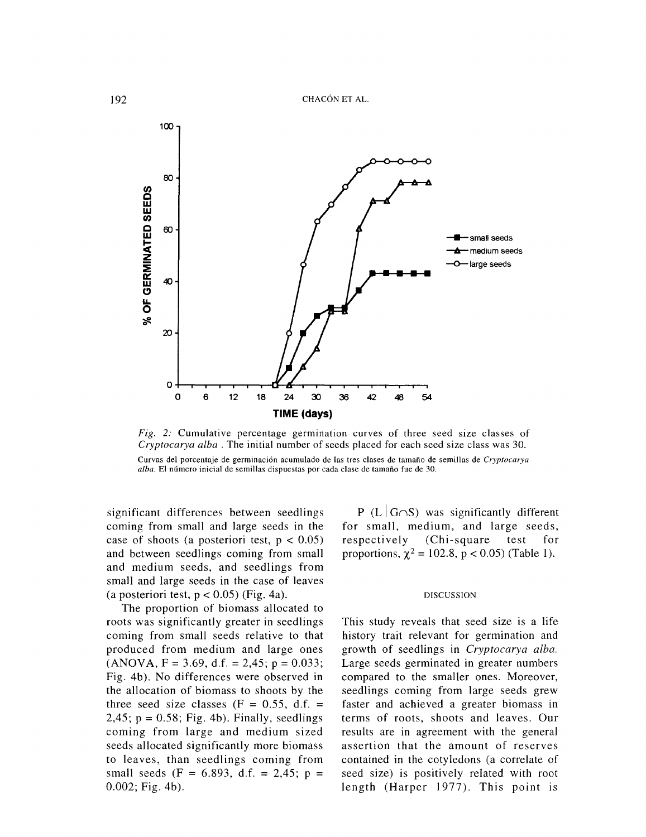

*Fig. 2:* Cumulative percentage germination curves of three seed size classes of *Cryptocarya alba* . The initial number of seeds placed for each seed size class was 30. Curvas del porcentaje de germinaci6n acumulado de las tres clases de tamafio de semillas de *Cryptocarya*  alba. El número inicial de semillas dispuestas por cada clase de tamaño fue de 30.

significant differences between seedlings coming from small and large seeds in the case of shoots (a posteriori test,  $p < 0.05$ ) and between seedlings coming from small and medium seeds, and seedlings from small and large seeds in the case of leaves (a posteriori test,  $p < 0.05$ ) (Fig. 4a).

The proportion of biomass allocated to roots was significantly greater in seedlings coming from small seeds relative to that produced from medium and large ones  $(ANOVA, F = 3.69, d.f. = 2.45; p = 0.033;$ Fig. 4b). No differences were observed in the allocation of biomass to shoots by the three seed size classes  $(F = 0.55, d.f. =$  $2,45$ ;  $p = 0.58$ ; Fig. 4b). Finally, seedlings coming from large and medium sized seeds allocated significantly more biomass to leaves, than seedlings coming from small seeds (F = 6.893, d.f. = 2,45; p = 0.002; Fig. 4b).

P (L  $|G∩S$ ) was significantly different for small, medium, and large seeds, respectively (Chi-square test for proportions,  $\chi^2 = 102.8$ , p < 0.05) (Table 1).

### DISCUSSION

This study reveals that seed size is a life history trait relevant for germination and growth of seedlings in *Cryptocarya alba.*  Large seeds germinated in greater numbers compared to the smaller ones. Moreover, seedlings coming from large seeds grew faster and achieved a greater biomass in terms of roots, shoots and leaves. Our results are in agreement with the general assertion that the amount of reserves contained in the cotyledons (a correlate of seed size) is positively related with root length (Harper 1977). This point is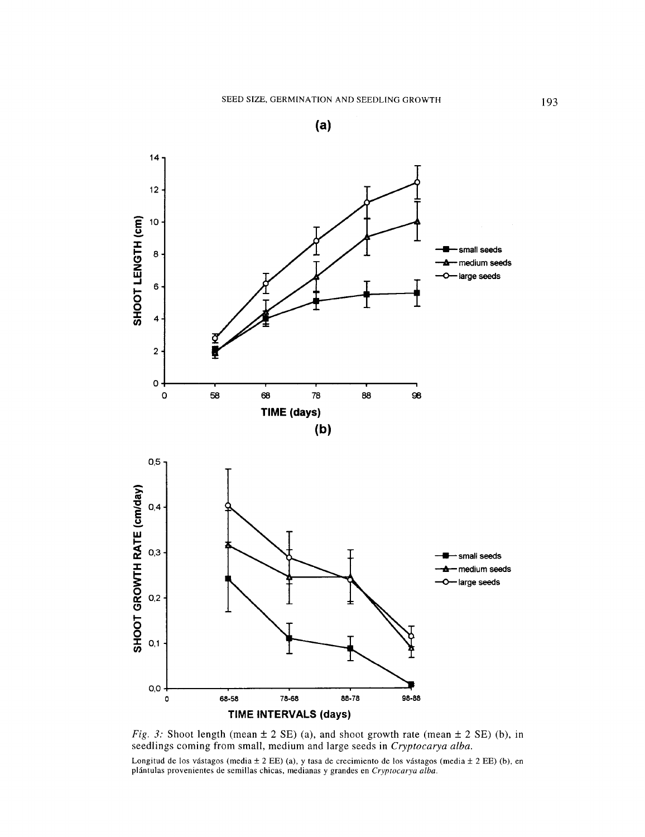



*Fig. 3:* Shoot length (mean  $\pm$  2 SE) (a), and shoot growth rate (mean  $\pm$  2 SE) (b), in seedlings coming from small, medium and large seeds in *Cryptocarya alba.* 

Longitud de los vástagos (media  $\pm$  2 EE) (a), y tasa de crecimiento de los vástagos (media  $\pm$  2 EE) (b), en plantulas provenientes de semillas chicas, medianas y grandes en *Cryptocarya alba.*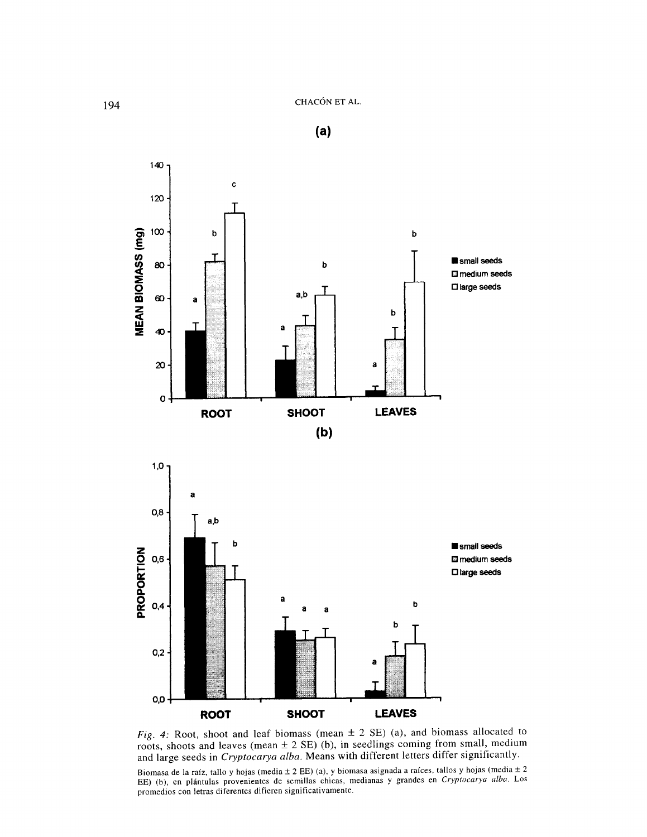

*Fig. 4:* Root, shoot and leaf biomass (mean ± 2 SE) (a), and biomass allocated to roots, shoots and leaves (mean  $\pm$  2 SE) (b), in seedlings coming from small, medium and large seeds in *Cryptocarya alba.* Means with different letters differ significantly.

Biomasa de la raíz, tallo y hojas (media  $\pm$  2 EE) (a), y biomasa asignada a raíces, tallos y hojas (media  $\pm$  2 EE) (b), en plántulas provenientes de semillas chicas. medianas y grandes en *Cryptocarya alba.* Los promedios con letras diferentes difieren significativamente.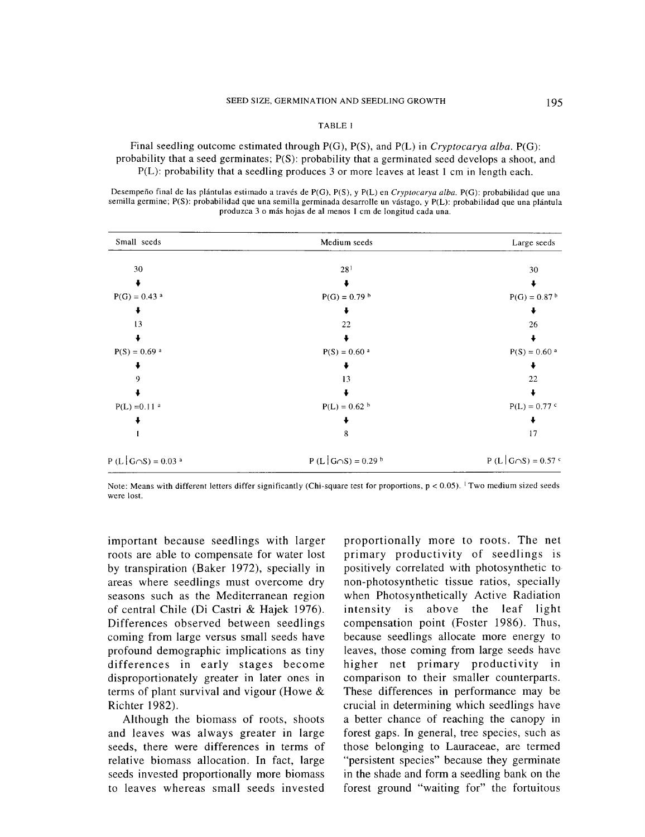## TABLE I

Final seedling outcome estimated through P(G), P(S), and P(L) in *Cryptocarya alba.* P(G): probability that a seed germinates; P(S): probability that a germinated seed develops a shoot, and P(L): probability that a seedling produces 3 or more leaves at least 1 em in length each.

Desempeño final de las plántulas estimado a través de P(G), P(S), y P(L) en *Cryptocarya alba*. P(G): probabilidad que una semilla germine; P(S): probabilidad que una semilla germinada desarrolle un vastago, y P(L): probabilidad que una plantula produzca 3 o más hojas de al menos I em de longitud cada una.

| Small seeds                           | Medium seeds                        | Large seeds                |
|---------------------------------------|-------------------------------------|----------------------------|
| 30                                    | 28 <sup>1</sup>                     | 30                         |
|                                       |                                     |                            |
| $P(G) = 0.43$ <sup>a</sup>            | $P(G) = 0.79$ <sup>b</sup>          | $P(G) = 0.87b$             |
|                                       |                                     |                            |
| 13                                    | 22                                  | 26                         |
|                                       |                                     |                            |
| $P(S) = 0.69$ <sup>a</sup>            | $P(S) = 0.60$ <sup>a</sup>          | $P(S) = 0.60$ <sup>a</sup> |
|                                       |                                     |                            |
|                                       | 13                                  | 22                         |
|                                       |                                     |                            |
| $P(L) = 0.11$ <sup>a</sup>            | $P(L) = 0.62 h$                     | $P(L) = 0.77$ <sup>c</sup> |
|                                       |                                     |                            |
|                                       | 8                                   | 17                         |
| $P(L   G \cap S) = 0.03$ <sup>a</sup> | $P(L G \cap S) = 0.29$ <sup>b</sup> | $P(L G \cap S) = 0.57$ c   |

Note: Means with different letters differ significantly (Chi-square test for proportions,  $p < 0.05$ ). <sup>1</sup> Two medium sized seeds were lost.

important because seedlings with larger roots are able to compensate for water lost by transpiration (Baker 1972), specially in areas where seedlings must overcome dry seasons such as the Mediterranean region of central Chile (Di Castri & Hajek 1976). Differences observed between seedlings coming from large versus small seeds have profound demographic implications as tiny differences in early stages become disproportionately greater in later ones in terms of plant survival and vigour (Howe & Richter 1982).

Although the biomass of roots, shoots and leaves was always greater in large seeds, there were differences in terms of relative biomass allocation. In fact, large seeds invested proportionally more biomass to leaves whereas small seeds invested

proportionally more to roots. The net primary productivity of seedlings is positively correlated with photosynthetic to non-photosynthetic tissue ratios, specially when Photosynthetically Active Radiation intensity is above the leaf light compensation point (Foster 1986). Thus, because seedlings allocate more energy to leaves, those coming from large seeds have higher net primary productivity in comparison to their smaller counterparts. These differences in performance may be crucial in determining which seedlings have a better chance of reaching the canopy in forest gaps. In general, tree species, such as those belonging to Lauraceae, are termed "persistent species" because they germinate in the shade and form a seedling bank on the forest ground "waiting for" the fortuitous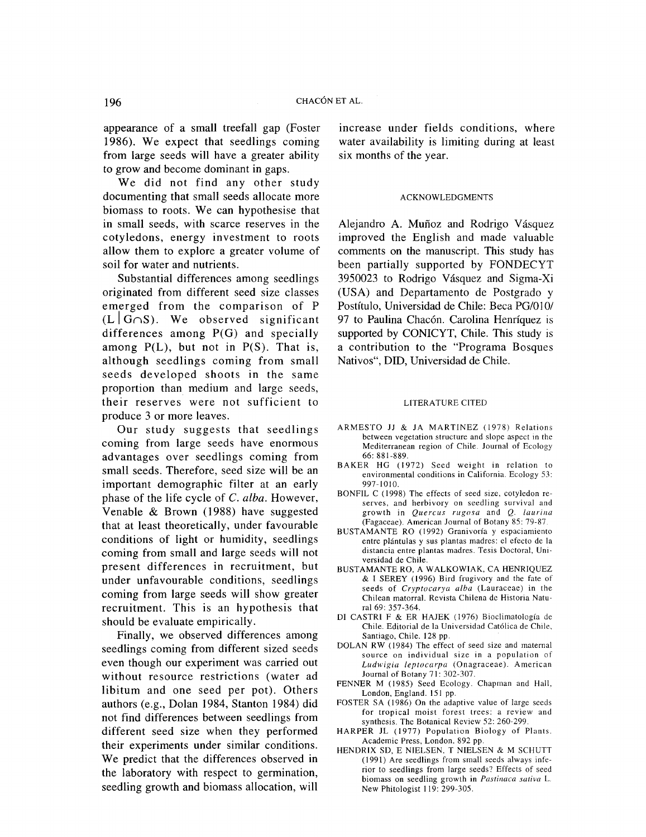appearance of a small treefall gap (Foster 1986). We expect that seedlings coming from large seeds will have a greater ability to grow and become dominant in gaps.

We did not find any other study documenting that small seeds allocate more biomass to roots. We can hypothesise that in small seeds, with scarce reserves in the cotyledons, energy investment to roots allow them to explore a greater volume of soil for water and nutrients.

Substantial differences among seedlings originated from different seed size classes emerged from the comparison of P  $(L | G \cap S)$ . We observed significant differences among P(G) and specially among  $P(L)$ , but not in  $P(S)$ . That is, although seedlings coming from small seeds developed shoots in the same proportion than medium and large seeds, their reserves were not sufficient to produce 3 or more leaves.

Our study suggests that seedlings coming from large seeds have enormous advantages over seedlings coming from small seeds. Therefore, seed size will be an important demographic filter at an early phase of the life cycle of C. *alba.* However, Venable & Brown (1988) have suggested that at least theoretically, under favourable conditions of light or humidity, seedlings coming from small and large seeds will not present differences in recruitment, but under unfavourable conditions, seedlings coming from large seeds will show greater recruitment. This is an hypothesis that should be evaluate empirically.

Finally, we observed differences among seedlings coming from different sized seeds even though our experiment was carried out without resource restrictions (water ad libitum and one seed per pot). Others authors (e.g., Dolan 1984, Stanton 1984) did not find differences between seedlings from different seed size when they performed their experiments under similar conditions. We predict that the differences observed in the laboratory with respect to germination, seedling growth and biomass allocation, will increase under fields conditions, where water availability is limiting during at least six months of the year.

## ACKNOWLEDGMENTS

Alejandro A. Mufioz and Rodrigo Vásquez improved the English and made valuable comments on the manuscript. This study has been partially supported by FONDECYT 3950023 to Rodrigo Vásquez and Sigma-Xi (USA) and Departamento de Postgrado y Postítulo, Universidad de Chile: Beca PG/010/ 97 to Paulina Chacón. Carolina Henríquez is supported by CONICYT, Chile. This study is a contribution to the "Programa Bosques Nativos", DID, Universidad de Chile.

#### LITERATURE CITED

- ARMESTO JJ & JA MARTINEZ (1978) Relations between vegetation structure and slope aspect in the Mediterranean region of Chile. Journal of Ecology 66: 881-889.
- BAKER HG (1972) Seed weight in relation to environmental conditions in California. Ecology 53: 997-1010.
- BONFIL C ( 1998) The effects of seed size, cotyledon reserves, and herbivory on seedling survival and growth in *Quercus rugosa* and *Q. laurina*  (Fagaceae). American Journal of Botany 85: 79-87.
- BUSTAMANTE RO (1992) Granivoria y espaciamiento entre plántulas y sus plantas madres: el efecto de Ia distancia entre plantas madres. Tesis Doctoral, Universidad de Chile.
- BUSTAMANTE RO, A WALKOWIAK, CA HENRIQUEZ & I SEREY ( 1996) Bird frugivory and the fate of seeds of *Cryptocarya alba* (Lauraceae) in the Chilean matorral. Revista Chilena de Historia Natural 69: 357-364.
- DI CASTRI F & ER HAJEK (1976) Bioclimatología de Chile. Editorial de Ia Universidad Cat6lica de Chile, Santiago, Chile. 128 pp.
- DOLAN RW (1984) The effect of seed size and maternal source on individual size in a population of *Ludwigia leptocarpa* (Onagraceae). American Journal of Botany 71: 302-307.
- FENNER M (1985) Seed Ecology. Chapman and Hall, London, England. 151 pp.
- FOSTER SA (1986) On the adaptive value of large seeds for tropical moist forest trees: a review and synthesis. The Botanical Review 52: 260-299.
- HARPER JL ( 1977) Population Biology of Plants. Academic Press, London. 892 pp.
- HENDRIX SD, E NIELSEN, T NIELSEN & M SCHUTT (1991) Are seedlings from small seeds always inferior to seedlings from large seeds? Effects of seed biomass on seedling growth in *Pastinaca sativa* L. New Phitologist 119: 299-305.